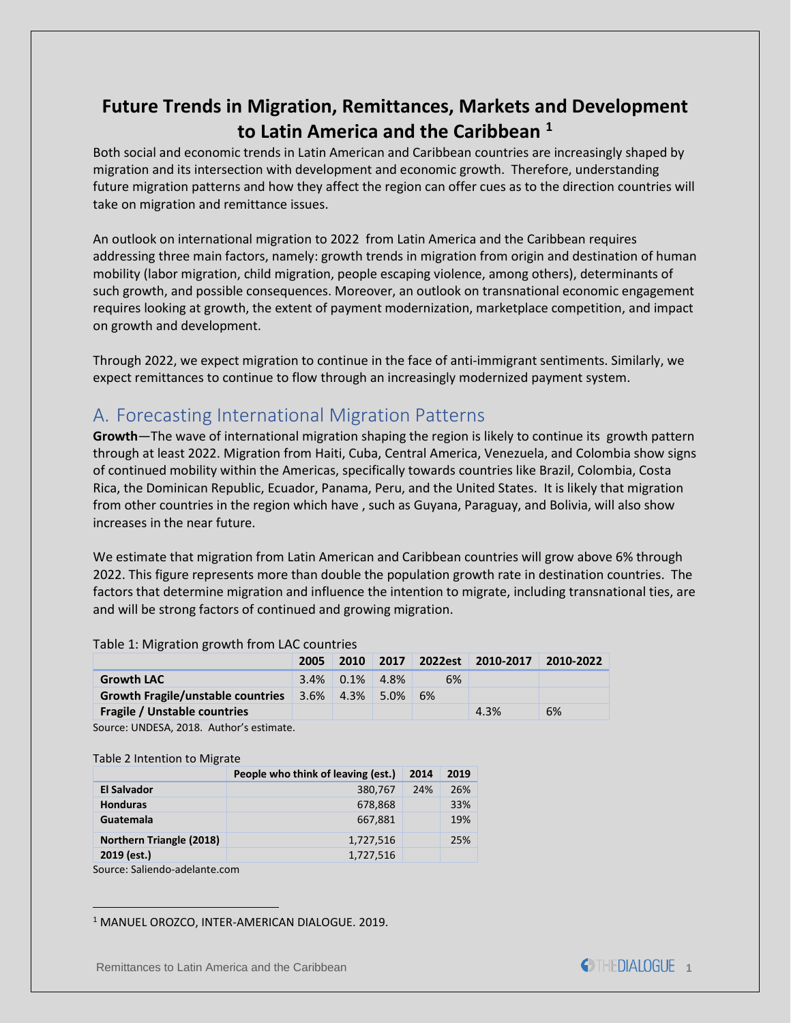# **Future Trends in Migration, Remittances, Markets and Development to Latin America and the Caribbean <sup>1</sup>**

Both social and economic trends in Latin American and Caribbean countries are increasingly shaped by migration and its intersection with development and economic growth. Therefore, understanding future migration patterns and how they affect the region can offer cues as to the direction countries will take on migration and remittance issues.

An outlook on international migration to 2022 from Latin America and the Caribbean requires addressing three main factors, namely: growth trends in migration from origin and destination of human mobility (labor migration, child migration, people escaping violence, among others), determinants of such growth, and possible consequences. Moreover, an outlook on transnational economic engagement requires looking at growth, the extent of payment modernization, marketplace competition, and impact on growth and development.

Through 2022, we expect migration to continue in the face of anti-immigrant sentiments. Similarly, we expect remittances to continue to flow through an increasingly modernized payment system.

## A. Forecasting International Migration Patterns

**Growth**—The wave of international migration shaping the region is likely to continue its growth pattern through at least 2022. Migration from Haiti, Cuba, Central America, Venezuela, and Colombia show signs of continued mobility within the Americas, specifically towards countries like Brazil, Colombia, Costa Rica, the Dominican Republic, Ecuador, Panama, Peru, and the United States. It is likely that migration from other countries in the region which have , such as Guyana, Paraguay, and Bolivia, will also show increases in the near future.

We estimate that migration from Latin American and Caribbean countries will grow above 6% through 2022. This figure represents more than double the population growth rate in destination countries. The factors that determine migration and influence the intention to migrate, including transnational ties, are and will be strong factors of continued and growing migration.

|                                          | 2005 | 2010         | 2017 |    | 2022est 2010-2017 | 2010-2022 |
|------------------------------------------|------|--------------|------|----|-------------------|-----------|
| <b>Growth LAC</b>                        |      | $3.4\%$ 0.1% | 4.8% | 6% |                   |           |
| <b>Growth Fragile/unstable countries</b> | 3.6% | 4.3%         | 5.0% | 6% |                   |           |
| <b>Fragile / Unstable countries</b>      |      |              |      |    | 4.3%              | 6%        |

### Table 1: Migration growth from LAC countries

Source: UNDESA, 2018. Author's estimate.

#### Table 2 Intention to Migrate

| People who think of leaving (est.) | 2014 | 2019 |
|------------------------------------|------|------|
| 380,767                            | 24%  | 26%  |
| 678,868                            |      | 33%  |
| 667,881                            |      | 19%  |
| 1,727,516                          |      | 25%  |
| 1,727,516                          |      |      |
|                                    |      |      |

Source: Saliendo-adelante.com

<sup>1</sup> MANUEL OROZCO, INTER-AMERICAN DIALOGUE. 2019.

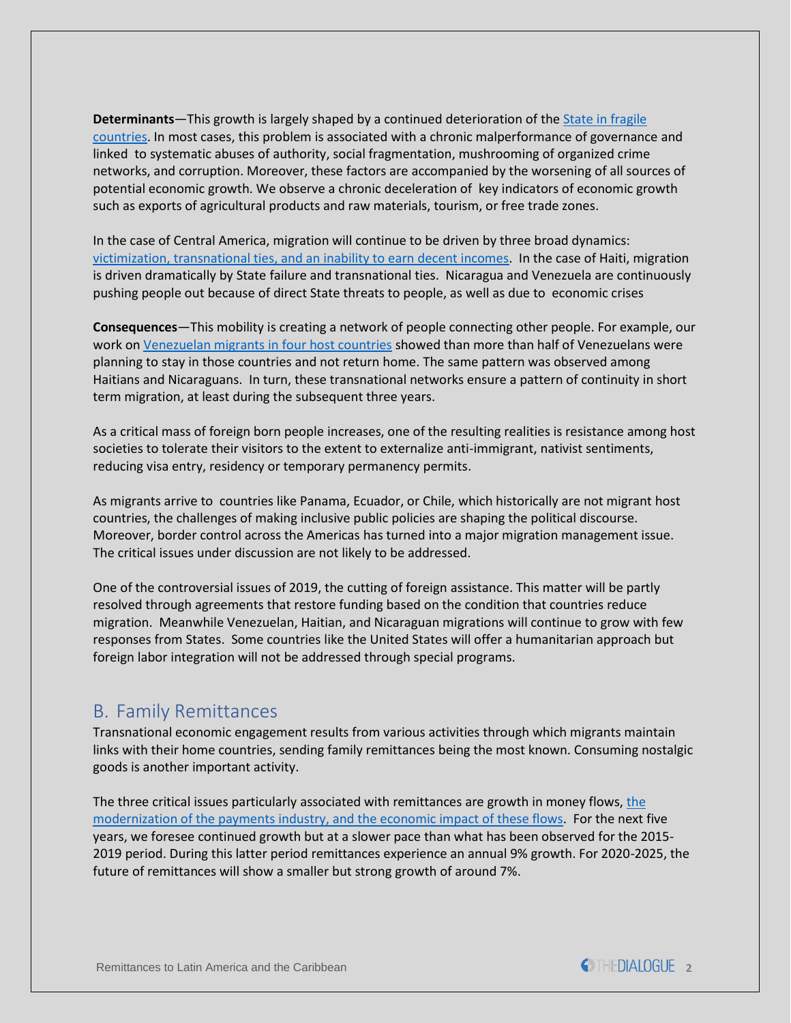**Determinants**—This growth is largely shaped by a continued deterioration of the [State in fragile](https://www.thedialogue.org/analysis/latin-american-and-caribbean-migration-from-weak-and-failing-states-updated/)  [countries.](https://www.thedialogue.org/analysis/latin-american-and-caribbean-migration-from-weak-and-failing-states-updated/) In most cases, this problem is associated with a chronic malperformance of governance and linked to systematic abuses of authority, social fragmentation, mushrooming of organized crime networks, and corruption. Moreover, these factors are accompanied by the worsening of all sources of potential economic growth. We observe a chronic deceleration of key indicators of economic growth such as exports of agricultural products and raw materials, tourism, or free trade zones.

In the case of Central America, migration will continue to be driven by three broad dynamics: victimization, transnational ties, [and an inability to earn decent incomes.](http://www.saliendo-adelante.com/) In the case of Haiti, migration is driven dramatically by State failure and transnational ties. Nicaragua and Venezuela are continuously pushing people out because of direct State threats to people, as well as due to economic crises

**Consequences**—This mobility is creating a network of people connecting other people. For example, our work on [Venezuelan migrants in four host countries](https://www.thedialogue.org/analysis/surveys-of-venezuelans-in-four-latin-american-countries/) showed than more than half of Venezuelans were planning to stay in those countries and not return home. The same pattern was observed among Haitians and Nicaraguans. In turn, these transnational networks ensure a pattern of continuity in short term migration, at least during the subsequent three years.

As a critical mass of foreign born people increases, one of the resulting realities is resistance among host societies to tolerate their visitors to the extent to externalize anti-immigrant, nativist sentiments, reducing visa entry, residency or temporary permanency permits.

As migrants arrive to countries like Panama, Ecuador, or Chile, which historically are not migrant host countries, the challenges of making inclusive public policies are shaping the political discourse. Moreover, border control across the Americas has turned into a major migration management issue. The critical issues under discussion are not likely to be addressed.

One of the controversial issues of 2019, the cutting of foreign assistance. This matter will be partly resolved through agreements that restore funding based on the condition that countries reduce migration. Meanwhile Venezuelan, Haitian, and Nicaraguan migrations will continue to grow with few responses from States. Some countries like the United States will offer a humanitarian approach but foreign labor integration will not be addressed through special programs.

### B. Family Remittances

Transnational economic engagement results from various activities through which migrants maintain links with their home countries, sending family remittances being the most known. Consuming nostalgic goods is another important activity.

The three critical issues particularly associated with remittances are growth in money flows, [the](https://www.thedialogue.org/analysis/remittances-to-latin-america-and-the-caribbean-in-2018-2/)  [modernization of the payments industry,](https://www.thedialogue.org/analysis/remittances-to-latin-america-and-the-caribbean-in-2018-2/) and the economic impact of these flows. For the next five years, we foresee continued growth but at a slower pace than what has been observed for the 2015- 2019 period. During this latter period remittances experience an annual 9% growth. For 2020-2025, the future of remittances will show a smaller but strong growth of around 7%.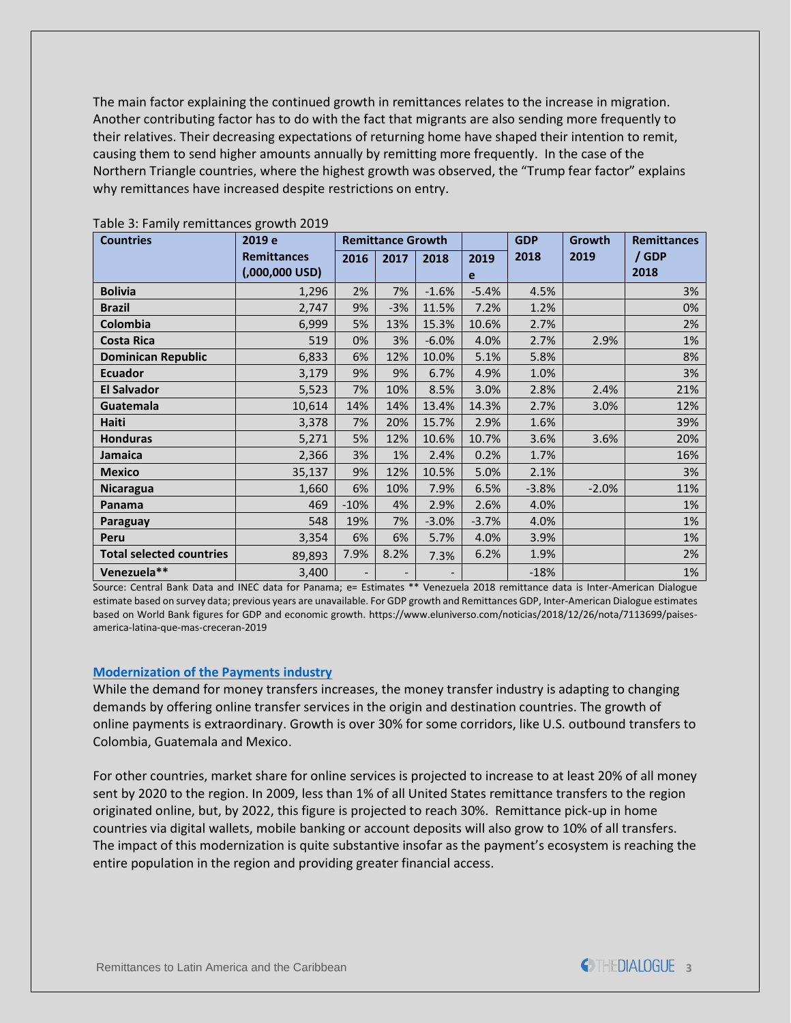The main factor explaining the continued growth in remittances relates to the increase in migration. Another contributing factor has to do with the fact that migrants are also sending more frequently to their relatives. Their decreasing expectations of returning home have shaped their intention to remit, causing them to send higher amounts annually by remitting more frequently. In the case of the Northern Triangle countries, where the highest growth was observed, the "Trump fear factor" explains why remittances have increased despite restrictions on entry.

| <b>Countries</b>                | 2019 e             | <b>Remittance Growth</b> |       |         |         | <b>GDP</b> | Growth  | <b>Remittances</b> |
|---------------------------------|--------------------|--------------------------|-------|---------|---------|------------|---------|--------------------|
|                                 | <b>Remittances</b> | 2016                     | 2017  | 2018    | 2019    | 2018       | 2019    | / GDP              |
|                                 | (,000,000 USD)     |                          |       |         | e       |            |         | 2018               |
| <b>Bolivia</b>                  | 1,296              | 2%                       | 7%    | $-1.6%$ | $-5.4%$ | 4.5%       |         | 3%                 |
| <b>Brazil</b>                   | 2,747              | 9%                       | $-3%$ | 11.5%   | 7.2%    | 1.2%       |         | 0%                 |
| Colombia                        | 6,999              | 5%                       | 13%   | 15.3%   | 10.6%   | 2.7%       |         | 2%                 |
| <b>Costa Rica</b>               | 519                | 0%                       | 3%    | $-6.0%$ | 4.0%    | 2.7%       | 2.9%    | 1%                 |
| <b>Dominican Republic</b>       | 6,833              | 6%                       | 12%   | 10.0%   | 5.1%    | 5.8%       |         | 8%                 |
| <b>Ecuador</b>                  | 3,179              | 9%                       | 9%    | 6.7%    | 4.9%    | 1.0%       |         | 3%                 |
| <b>El Salvador</b>              | 5,523              | 7%                       | 10%   | 8.5%    | 3.0%    | 2.8%       | 2.4%    | 21%                |
| Guatemala                       | 10,614             | 14%                      | 14%   | 13.4%   | 14.3%   | 2.7%       | 3.0%    | 12%                |
| Haiti                           | 3,378              | 7%                       | 20%   | 15.7%   | 2.9%    | 1.6%       |         | 39%                |
| <b>Honduras</b>                 | 5,271              | 5%                       | 12%   | 10.6%   | 10.7%   | 3.6%       | 3.6%    | 20%                |
| Jamaica                         | 2,366              | 3%                       | 1%    | 2.4%    | 0.2%    | 1.7%       |         | 16%                |
| <b>Mexico</b>                   | 35,137             | 9%                       | 12%   | 10.5%   | 5.0%    | 2.1%       |         | 3%                 |
| <b>Nicaragua</b>                | 1,660              | 6%                       | 10%   | 7.9%    | 6.5%    | $-3.8%$    | $-2.0%$ | 11%                |
| Panama                          | 469                | $-10%$                   | 4%    | 2.9%    | 2.6%    | 4.0%       |         | 1%                 |
| Paraguay                        | 548                | 19%                      | 7%    | $-3.0%$ | $-3.7%$ | 4.0%       |         | 1%                 |
| Peru                            | 3,354              | 6%                       | 6%    | 5.7%    | 4.0%    | 3.9%       |         | 1%                 |
| <b>Total selected countries</b> | 89,893             | 7.9%                     | 8.2%  | 7.3%    | 6.2%    | 1.9%       |         | 2%                 |
| Venezuela**                     | 3,400              | $\overline{\phantom{a}}$ | -     | -       |         | $-18%$     |         | 1%                 |

Table 3: Family remittances growth 2019

Source: Central Bank Data and INEC data for Panama; e= Estimates \*\* Venezuela 2018 remittance data is Inter-American Dialogue estimate based on survey data; previous years are unavailable. For GDP growth and Remittances GDP, Inter-American Dialogue estimates based on World Bank figures for GDP and economic growth. https://www.eluniverso.com/noticias/2018/12/26/nota/7113699/paisesamerica-latina-que-mas-creceran-2019

### **[Modernization of the Payments industry](https://www.thedialogue.org/current-projects/remittance-industry-observatory/)**

While the demand for money transfers increases, the money transfer industry is adapting to changing demands by offering online transfer services in the origin and destination countries. The growth of online payments is extraordinary. Growth is over 30% for some corridors, like U.S. outbound transfers to Colombia, Guatemala and Mexico.

For other countries, market share for online services is projected to increase to at least 20% of all money sent by 2020 to the region. In 2009, less than 1% of all United States remittance transfers to the region originated online, but, by 2022, this figure is projected to reach 30%. Remittance pick-up in home countries via digital wallets, mobile banking or account deposits will also grow to 10% of all transfers. The impact of this modernization is quite substantive insofar as the payment's ecosystem is reaching the entire population in the region and providing greater financial access.